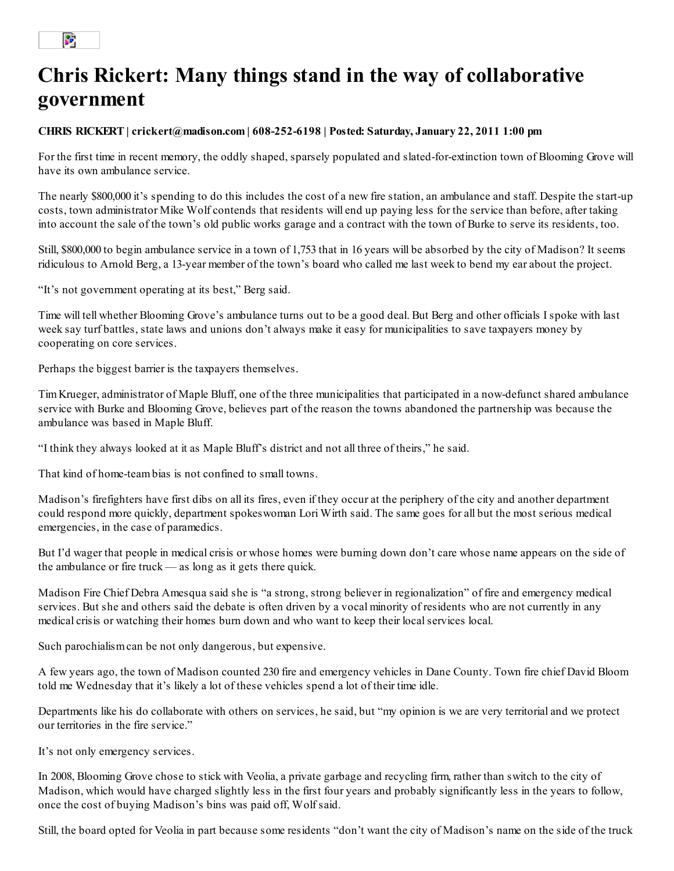## $\mathbf{S}^{\mathbf{p}}$

## Chris Rickert: Many things stand in the way of collaborative government

## CHRIS RICKERT | crickert@madison.com | 608-252-6198 | Posted: Saturday, January 22, 2011 1:00 pm

For the first time in recent memory, the oddly shaped, sparsely populated and slated-for-extinction town of Blooming Grove will have its own ambulance service.

The nearly \$800,000 it's spending to do this includes the cost of a new fire station, an ambulance and staff. Despite the start-up costs, town administrator Mike Wolf contends that residents will end up paying less for the service than before, after taking into account the sale of the town's old public works garage and a contract with the town of Burke to serve its residents, too.

Still, \$800,000 to begin ambulance service in a town of 1,753 that in 16 years will be absorbed by the city of Madison? It seems ridiculous to Arnold Berg, a 13-year member of the town's board who called me last week to bend my ear about the project.

"It's not government operating at its best," Berg said.

Time will tell whether Blooming Grove's ambulance turns out to be a good deal. But Berg and other officials I spoke with last week say turf battles, state laws and unions don't always make it easy for municipalities to save taxpayers money by cooperating on core services.

Perhaps the biggest barrier is the taxpayers themselves.

Tim Krueger, administrator of Maple Bluff, one of the three municipalities that participated in a now-defunct shared ambulance service with Burke and Blooming Grove, believes part of the reason the towns abandoned the partnership was because the ambulance was based in Maple Bluff.

"I think they always looked at it as Maple Bluff's district and not all three of theirs," he said.

That kind of home-team bias is not confined to small towns.

Madison's firefighters have first dibs on all its fires, even if they occur at the periphery of the city and another department could respond more quickly, department spokeswoman Lori Wirth said. The same goes for all but the most serious medical emergencies, in the case of paramedics.

But I'd wager that people in medical crisis or whose homes were burning down don't care whose name appears on the side of the ambulance or fire truck — as long as it gets there quick.

Madison Fire Chief Debra Amesqua said she is "a strong, strong believer in regionalization" of fire and emergency medical services. But she and others said the debate is often driven by a vocal minority of residents who are not currently in any medical crisis or watching their homes burn down and who want to keep their local services local.

Such parochialism can be not only dangerous, but expensive.

A few years ago, the town of Madison counted 230 fire and emergency vehicles in Dane County. Town fire chief David Bloom told me Wednesday that it's likely a lot of these vehicles spend a lot of their time idle.

Departments like his do collaborate with others on services, he said, but "my opinion is we are very territorial and we protect our territories in the fire service."

It's not only emergency services.

In 2008, Blooming Grove chose to stick with Veolia, a private garbage and recycling firm, rather than switch to the city of Madison, which would have charged slightly less in the first four years and probably significantly less in the years to follow, once the cost of buying Madison's bins was paid off, Wolf said.

Still, the board opted for Veolia in part because some residents "don't want the city of Madison's name on the side of the truck